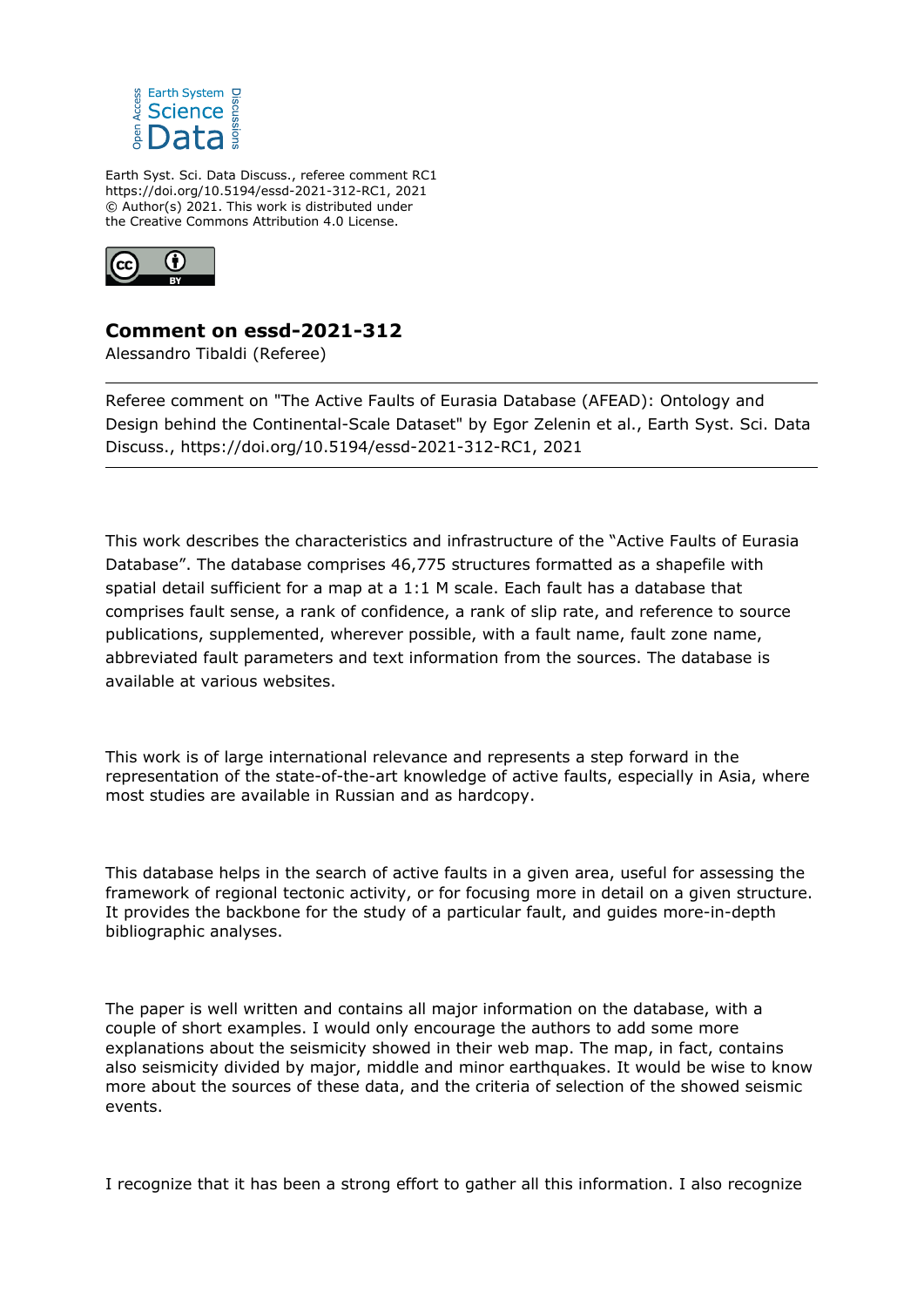

Earth Syst. Sci. Data Discuss., referee comment RC1 https://doi.org/10.5194/essd-2021-312-RC1, 2021 © Author(s) 2021. This work is distributed under the Creative Commons Attribution 4.0 License.



## **Comment on essd-2021-312**

Alessandro Tibaldi (Referee)

Referee comment on "The Active Faults of Eurasia Database (AFEAD): Ontology and Design behind the Continental-Scale Dataset" by Egor Zelenin et al., Earth Syst. Sci. Data Discuss., https://doi.org/10.5194/essd-2021-312-RC1, 2021

This work describes the characteristics and infrastructure of the "Active Faults of Eurasia Database". The database comprises 46,775 structures formatted as a shapefile with spatial detail sufficient for a map at a 1:1 M scale. Each fault has a database that comprises fault sense, a rank of confidence, a rank of slip rate, and reference to source publications, supplemented, wherever possible, with a fault name, fault zone name, abbreviated fault parameters and text information from the sources. The database is available at various websites.

This work is of large international relevance and represents a step forward in the representation of the state-of-the-art knowledge of active faults, especially in Asia, where most studies are available in Russian and as hardcopy.

This database helps in the search of active faults in a given area, useful for assessing the framework of regional tectonic activity, or for focusing more in detail on a given structure. It provides the backbone for the study of a particular fault, and guides more-in-depth bibliographic analyses.

The paper is well written and contains all major information on the database, with a couple of short examples. I would only encourage the authors to add some more explanations about the seismicity showed in their web map. The map, in fact, contains also seismicity divided by major, middle and minor earthquakes. It would be wise to know more about the sources of these data, and the criteria of selection of the showed seismic events.

I recognize that it has been a strong effort to gather all this information. I also recognize